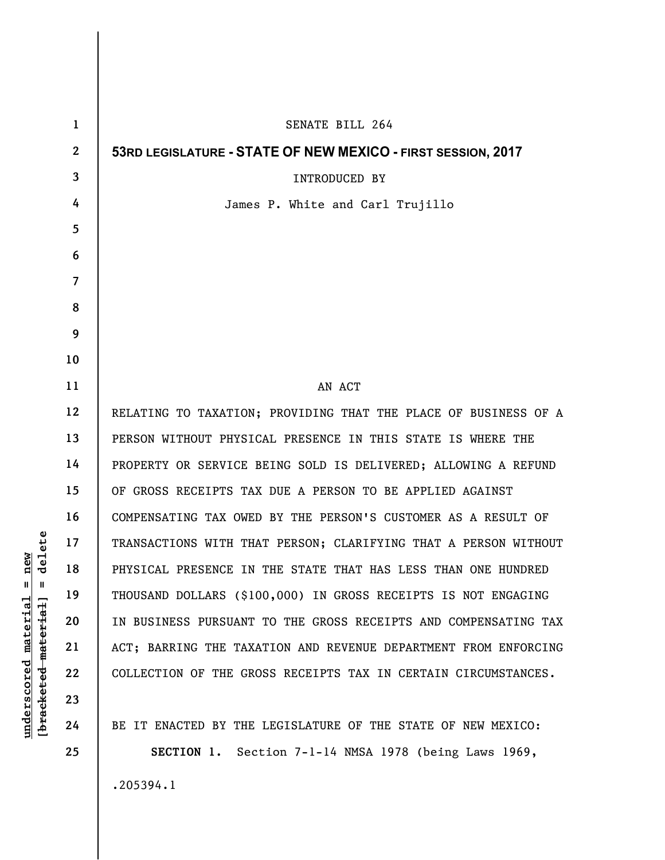| $\mathbf{1}$   | <b>SENATE BILL 264</b>                                          |
|----------------|-----------------------------------------------------------------|
| $\mathbf{2}$   | 53RD LEGISLATURE - STATE OF NEW MEXICO - FIRST SESSION, 2017    |
| 3              | <b>INTRODUCED BY</b>                                            |
| 4              | James P. White and Carl Trujillo                                |
| 5              |                                                                 |
| 6              |                                                                 |
| $\overline{7}$ |                                                                 |
| 8              |                                                                 |
| 9              |                                                                 |
| 10             |                                                                 |
| 11             | AN ACT                                                          |
| 12             | RELATING TO TAXATION; PROVIDING THAT THE PLACE OF BUSINESS OF A |
| 13             | PERSON WITHOUT PHYSICAL PRESENCE IN THIS STATE IS WHERE THE     |
| 14             | PROPERTY OR SERVICE BEING SOLD IS DELIVERED; ALLOWING A REFUND  |
| 15             | OF GROSS RECEIPTS TAX DUE A PERSON TO BE APPLIED AGAINST        |
| 16             | COMPENSATING TAX OWED BY THE PERSON'S CUSTOMER AS A RESULT OF   |
| 17             | TRANSACTIONS WITH THAT PERSON; CLARIFYING THAT A PERSON WITHOUT |
| 18             | PHYSICAL PRESENCE IN THE STATE THAT HAS LESS THAN ONE HUNDRED   |
| 19             | THOUSAND DOLLARS (\$100,000) IN GROSS RECEIPTS IS NOT ENGAGING  |
| 20             | IN BUSINESS PURSUANT TO THE GROSS RECEIPTS AND COMPENSATING TAX |
| 21             | ACT; BARRING THE TAXATION AND REVENUE DEPARTMENT FROM ENFORCING |
| 22             | COLLECTION OF THE GROSS RECEIPTS TAX IN CERTAIN CIRCUMSTANCES.  |
| 23             |                                                                 |
| 24             | BE IT ENACTED BY THE LEGISLATURE OF THE STATE OF NEW MEXICO:    |
| 25             | SECTION 1. Section 7-1-14 NMSA 1978 (being Laws 1969,           |
|                | .205394.1                                                       |

**underscored material = new [bracketed material] = delete**

 $[**bracket**et~~eted matcherial~~] = **delete**$  $underscored material = new$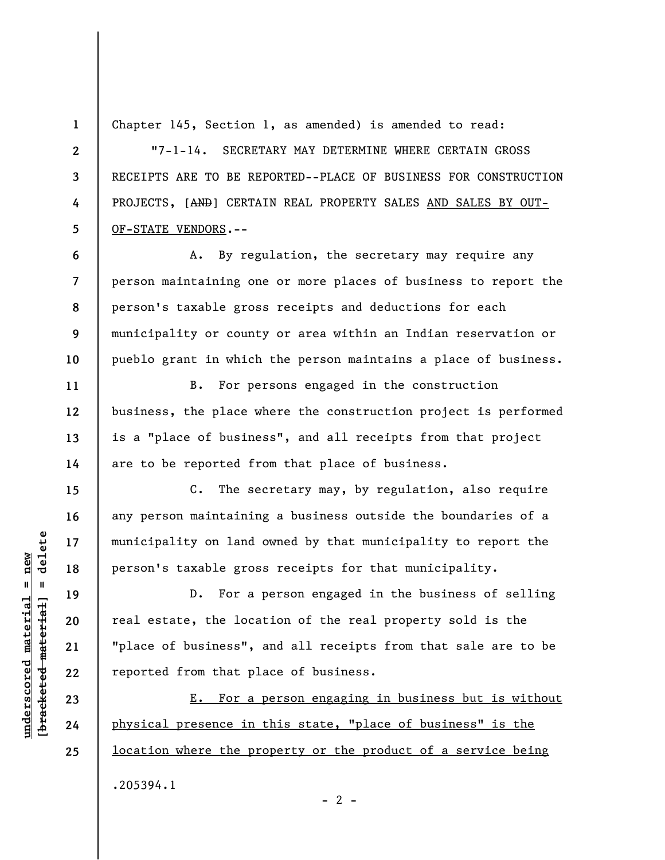**1 2** 

**3** 

**4** 

**5** 

**6** 

**7** 

**8** 

**9** 

**10** 

**11** 

**12** 

**13** 

**14** 

**15** 

**16** 

**17** 

**18** 

**19** 

**20** 

**21** 

**22** 

**23** 

**24** 

**25** 

Chapter 145, Section 1, as amended) is amended to read:

"7-1-14. SECRETARY MAY DETERMINE WHERE CERTAIN GROSS RECEIPTS ARE TO BE REPORTED--PLACE OF BUSINESS FOR CONSTRUCTION PROJECTS, [AND] CERTAIN REAL PROPERTY SALES AND SALES BY OUT-OF-STATE VENDORS.--

A. By regulation, the secretary may require any person maintaining one or more places of business to report the person's taxable gross receipts and deductions for each municipality or county or area within an Indian reservation or pueblo grant in which the person maintains a place of business.

B. For persons engaged in the construction business, the place where the construction project is performed is a "place of business", and all receipts from that project are to be reported from that place of business.

C. The secretary may, by regulation, also require any person maintaining a business outside the boundaries of a municipality on land owned by that municipality to report the person's taxable gross receipts for that municipality.

D. For a person engaged in the business of selling real estate, the location of the real property sold is the "place of business", and all receipts from that sale are to be reported from that place of business.

E. For a person engaging in business but is without physical presence in this state, "place of business" is the location where the property or the product of a service being .205394.1  $- 2 -$ 

 $\frac{1}{2}$  of  $\frac{1}{2}$  and  $\frac{1}{2}$  and  $\frac{1}{2}$  and  $\frac{1}{2}$  and  $\frac{1}{2}$  and  $\frac{1}{2}$  and  $\frac{1}{2}$  and  $\frac{1}{2}$  and  $\frac{1}{2}$  and  $\frac{1}{2}$  and  $\frac{1}{2}$  and  $\frac{1}{2}$  and  $\frac{1}{2}$  and  $\frac{1}{2}$  and  $\frac{1}{2}$  an **[bracketed material] = delete**  $anderscored material = new$ **underscored material = new**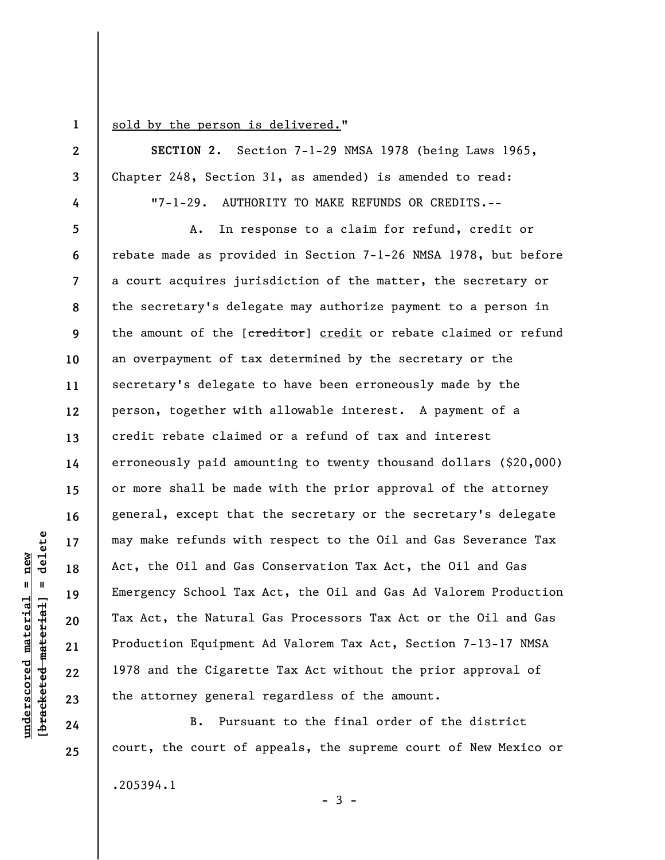**1** 

**2** 

**3** 

**4** 

## sold by the person is delivered."

**SECTION 2.** Section 7-1-29 NMSA 1978 (being Laws 1965, Chapter 248, Section 31, as amended) is amended to read:

"7-1-29. AUTHORITY TO MAKE REFUNDS OR CREDITS.--

**5 6 7 8 9 10 11 12 13 14 15 16 17 18 19 20 22 23**  A. In response to a claim for refund, credit or rebate made as provided in Section 7-1-26 NMSA 1978, but before a court acquires jurisdiction of the matter, the secretary or the secretary's delegate may authorize payment to a person in the amount of the [ereditor] credit or rebate claimed or refund an overpayment of tax determined by the secretary or the secretary's delegate to have been erroneously made by the person, together with allowable interest. A payment of a credit rebate claimed or a refund of tax and interest erroneously paid amounting to twenty thousand dollars (\$20,000) or more shall be made with the prior approval of the attorney general, except that the secretary or the secretary's delegate may make refunds with respect to the Oil and Gas Severance Tax Act, the Oil and Gas Conservation Tax Act, the Oil and Gas Emergency School Tax Act, the Oil and Gas Ad Valorem Production Tax Act, the Natural Gas Processors Tax Act or the Oil and Gas Production Equipment Ad Valorem Tax Act, Section 7-13-17 NMSA 1978 and the Cigarette Tax Act without the prior approval of the attorney general regardless of the amount.

B. Pursuant to the final order of the district court, the court of appeals, the supreme court of New Mexico or .205394.1  $-3 -$ 

delete **[bracketed material] = delete**  $underscored material = new$ **underscored material = new**  $\mathbf{I}$ bracketed material

**21** 

**24**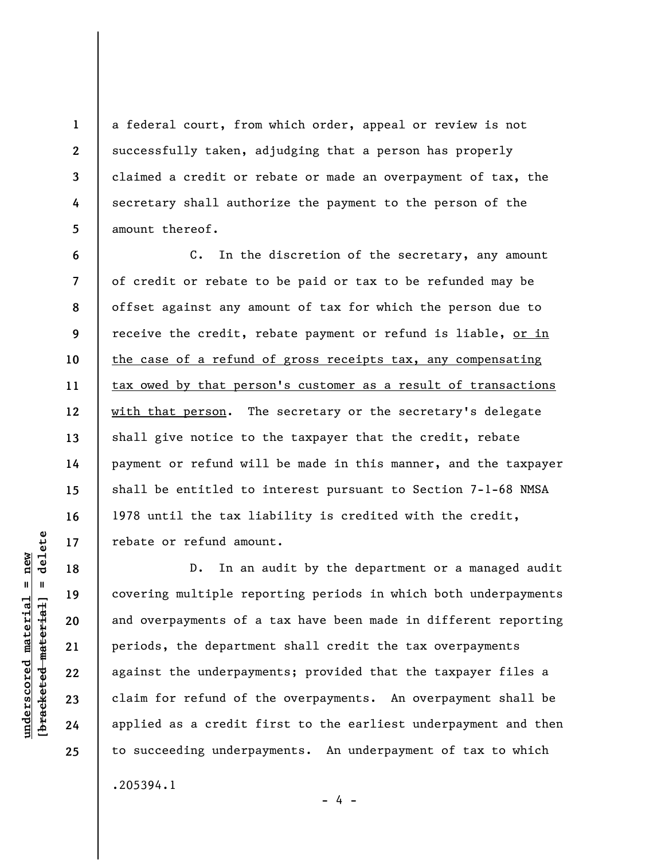a federal court, from which order, appeal or review is not successfully taken, adjudging that a person has properly claimed a credit or rebate or made an overpayment of tax, the secretary shall authorize the payment to the person of the amount thereof.

**6 7 8 9 10 11 12 13 14 15 16 17**  C. In the discretion of the secretary, any amount of credit or rebate to be paid or tax to be refunded may be offset against any amount of tax for which the person due to receive the credit, rebate payment or refund is liable, or in the case of a refund of gross receipts tax, any compensating tax owed by that person's customer as a result of transactions with that person. The secretary or the secretary's delegate shall give notice to the taxpayer that the credit, rebate payment or refund will be made in this manner, and the taxpayer shall be entitled to interest pursuant to Section 7-1-68 NMSA 1978 until the tax liability is credited with the credit, rebate or refund amount.

D. In an audit by the department or a managed audit covering multiple reporting periods in which both underpayments and overpayments of a tax have been made in different reporting periods, the department shall credit the tax overpayments against the underpayments; provided that the taxpayer files a claim for refund of the overpayments. An overpayment shall be applied as a credit first to the earliest underpayment and then to succeeding underpayments. An underpayment of tax to which .205394.1

**18** 

**19** 

**20** 

**21** 

**22** 

**23** 

**24** 

**25** 

**1** 

**2** 

**3** 

**4** 

**5** 

- 4 -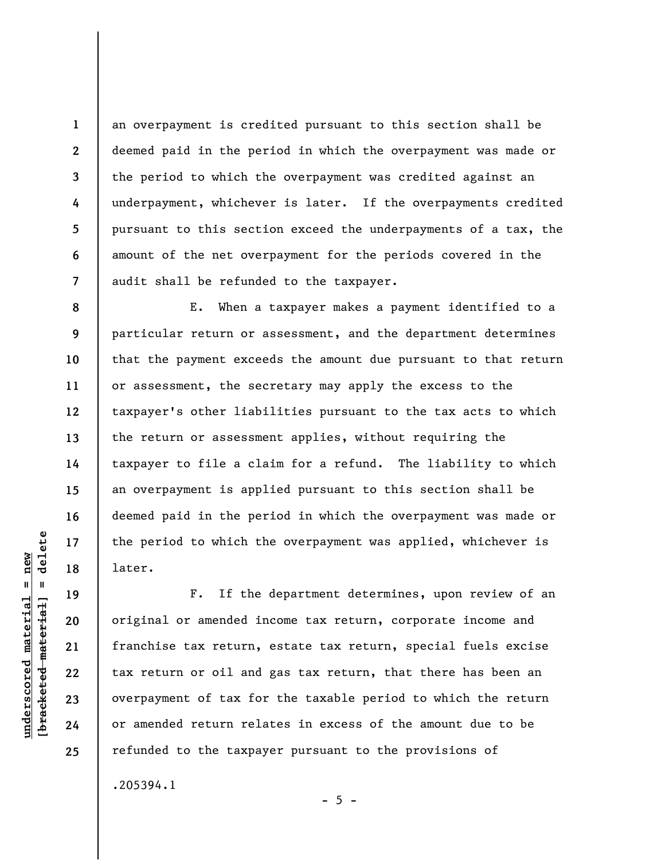an overpayment is credited pursuant to this section shall be deemed paid in the period in which the overpayment was made or the period to which the overpayment was credited against an underpayment, whichever is later. If the overpayments credited pursuant to this section exceed the underpayments of a tax, the amount of the net overpayment for the periods covered in the audit shall be refunded to the taxpayer.

E. When a taxpayer makes a payment identified to a particular return or assessment, and the department determines that the payment exceeds the amount due pursuant to that return or assessment, the secretary may apply the excess to the taxpayer's other liabilities pursuant to the tax acts to which the return or assessment applies, without requiring the taxpayer to file a claim for a refund. The liability to which an overpayment is applied pursuant to this section shall be deemed paid in the period in which the overpayment was made or the period to which the overpayment was applied, whichever is later.

**19 20 21 22 23 24 25**  F. If the department determines, upon review of an original or amended income tax return, corporate income and franchise tax return, estate tax return, special fuels excise tax return or oil and gas tax return, that there has been an overpayment of tax for the taxable period to which the return or amended return relates in excess of the amount due to be refunded to the taxpayer pursuant to the provisions of .205394.1

**1** 

**2** 

**3** 

**4** 

**5** 

**6** 

**7** 

**8** 

**9** 

**10** 

**11** 

**12** 

**13** 

**14** 

**15** 

**16** 

**17** 

**18** 

 $- 5 -$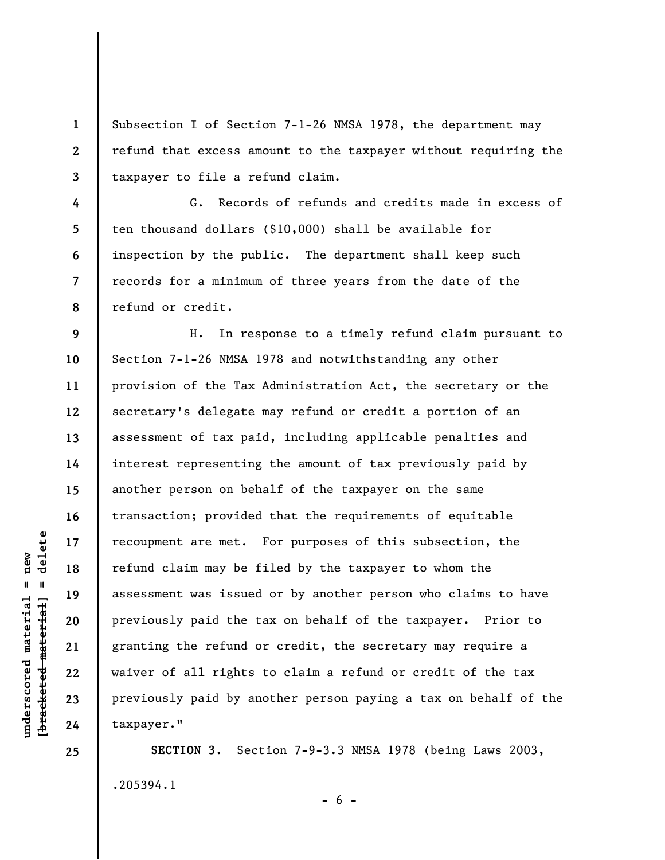Subsection I of Section 7-1-26 NMSA 1978, the department may refund that excess amount to the taxpayer without requiring the taxpayer to file a refund claim.

**8**  G. Records of refunds and credits made in excess of ten thousand dollars (\$10,000) shall be available for inspection by the public. The department shall keep such records for a minimum of three years from the date of the refund or credit.

**9 10 11 12 13 14 15 16 17 18 19 20 21 22 23 24**  H. In response to a timely refund claim pursuant to Section 7-1-26 NMSA 1978 and notwithstanding any other provision of the Tax Administration Act, the secretary or the secretary's delegate may refund or credit a portion of an assessment of tax paid, including applicable penalties and interest representing the amount of tax previously paid by another person on behalf of the taxpayer on the same transaction; provided that the requirements of equitable recoupment are met. For purposes of this subsection, the refund claim may be filed by the taxpayer to whom the assessment was issued or by another person who claims to have previously paid the tax on behalf of the taxpayer. Prior to granting the refund or credit, the secretary may require a waiver of all rights to claim a refund or credit of the tax previously paid by another person paying a tax on behalf of the taxpayer."

**SECTION 3.** Section 7-9-3.3 NMSA 1978 (being Laws 2003, .205394.1

 $- 6 -$ 

**25** 

**1** 

**2** 

**3** 

**4** 

**5** 

**6**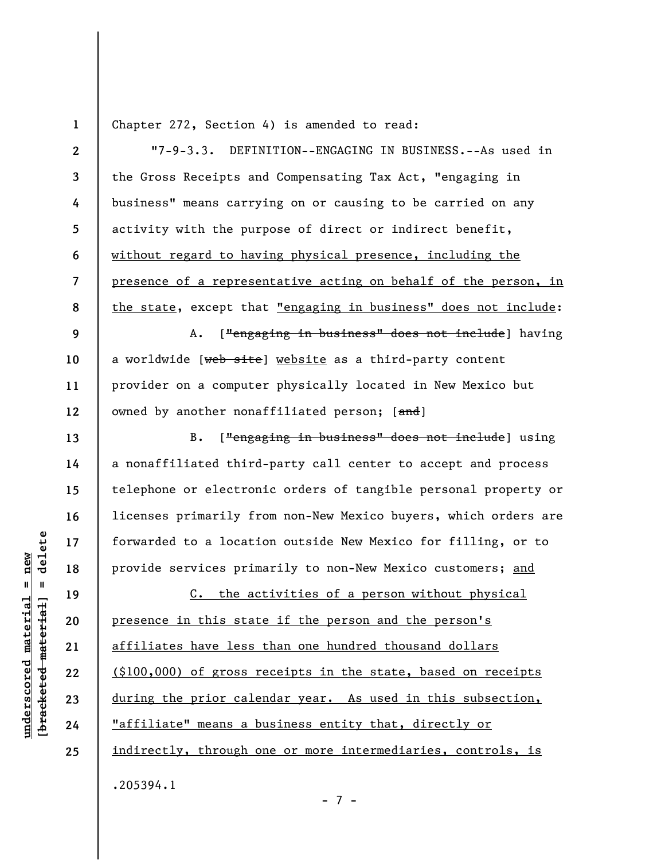**1** 

Chapter 272, Section 4) is amended to read:

**2 3 4 5 6 7 8 9 10 11 12 13 14 15 16**  "7-9-3.3. DEFINITION--ENGAGING IN BUSINESS.--As used in the Gross Receipts and Compensating Tax Act, "engaging in business" means carrying on or causing to be carried on any activity with the purpose of direct or indirect benefit, without regard to having physical presence, including the presence of a representative acting on behalf of the person, in the state, except that "engaging in business" does not include: A. ["engaging in business" does not include] having a worldwide [web site] website as a third-party content provider on a computer physically located in New Mexico but owned by another nonaffiliated person; [and] B. ["engaging in business" does not include] using a nonaffiliated third-party call center to accept and process telephone or electronic orders of tangible personal property or licenses primarily from non-New Mexico buyers, which orders are

forwarded to a location outside New Mexico for filling, or to provide services primarily to non-New Mexico customers; and

C. the activities of a person without physical presence in this state if the person and the person's affiliates have less than one hundred thousand dollars (\$100,000) of gross receipts in the state, based on receipts during the prior calendar year. As used in this subsection, "affiliate" means a business entity that, directly or indirectly, through one or more intermediaries, controls, is .205394.1

- 7 -

**17** 

**18** 

**19** 

**20** 

**21** 

**22** 

**23** 

**24**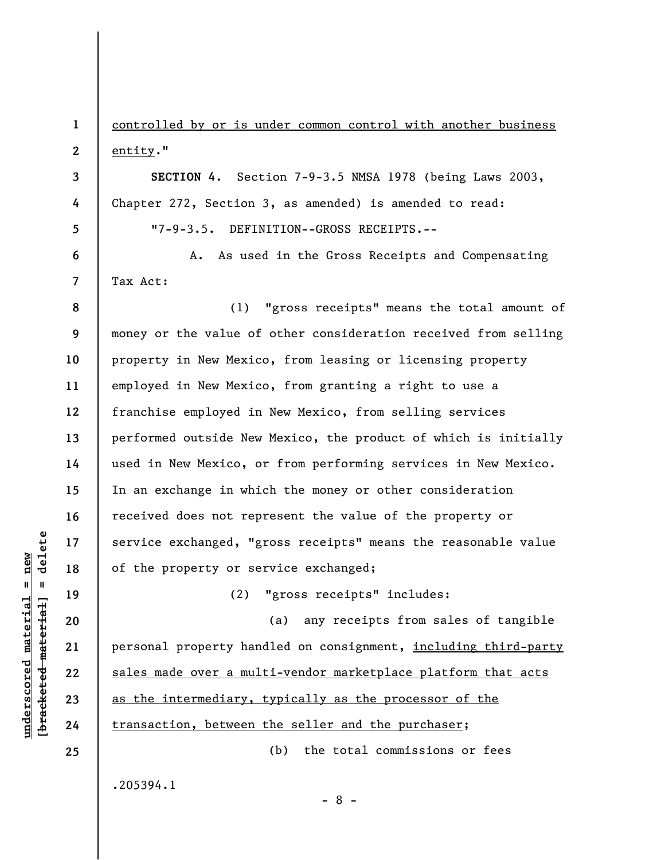**1 2 3 4**  controlled by or is under common control with another business entity." **SECTION 4**. Section 7-9-3.5 NMSA 1978 (being Laws 2003, Chapter 272, Section 3, as amended) is amended to read:

"7-9-3.5. DEFINITION--GROSS RECEIPTS.--

A. As used in the Gross Receipts and Compensating Tax Act:

**8 9 10 11 12 13 14 15 16 17 18**  (1) "gross receipts" means the total amount of money or the value of other consideration received from selling property in New Mexico, from leasing or licensing property employed in New Mexico, from granting a right to use a franchise employed in New Mexico, from selling services performed outside New Mexico, the product of which is initially used in New Mexico, or from performing services in New Mexico. In an exchange in which the money or other consideration received does not represent the value of the property or service exchanged, "gross receipts" means the reasonable value of the property or service exchanged;

(2) "gross receipts" includes:

(a) any receipts from sales of tangible personal property handled on consignment, including third-party sales made over a multi-vendor marketplace platform that acts as the intermediary, typically as the processor of the transaction, between the seller and the purchaser; (b) the total commissions or fees

- 8 -

.205394.1

 $\frac{1}{2}$  of  $\frac{1}{2}$  and  $\frac{1}{2}$  and  $\frac{1}{2}$  and  $\frac{1}{2}$  and  $\frac{1}{2}$  and  $\frac{1}{2}$  and  $\frac{1}{2}$  and  $\frac{1}{2}$  and  $\frac{1}{2}$  and  $\frac{1}{2}$  and  $\frac{1}{2}$  and  $\frac{1}{2}$  and  $\frac{1}{2}$  and  $\frac{1}{2}$  and  $\frac{1}{2}$  an **[bracketed material] = delete**  $underscored material = new$ **underscored material = new**

**19** 

**20** 

**21** 

**22** 

**23** 

**24** 

**25** 

**5** 

**6**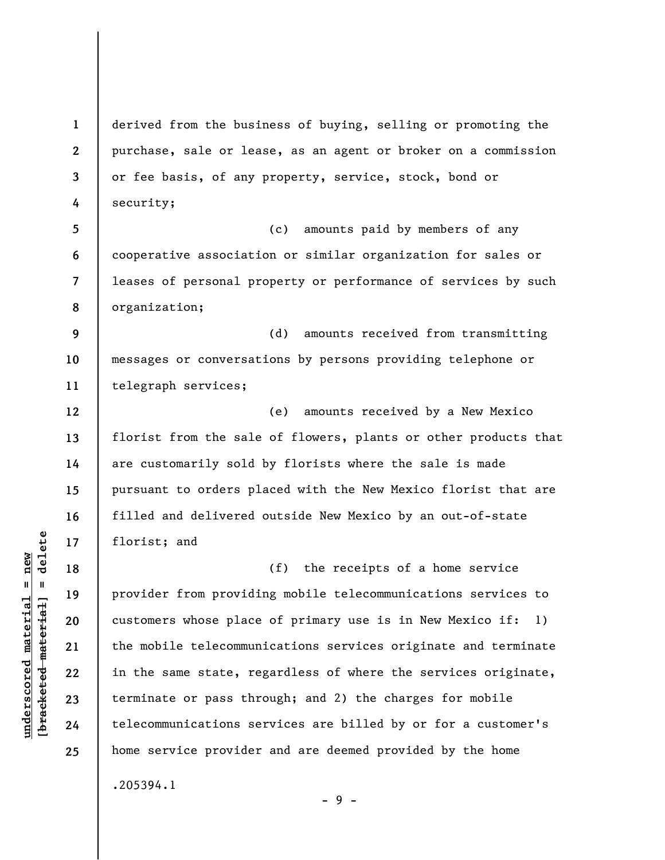**1 2 3 4 5 6 7**  derived from the business of buying, selling or promoting the purchase, sale or lease, as an agent or broker on a commission or fee basis, of any property, service, stock, bond or security; (c) amounts paid by members of any cooperative association or similar organization for sales or leases of personal property or performance of services by such

**9 10 11**  (d) amounts received from transmitting messages or conversations by persons providing telephone or telegraph services;

(e) amounts received by a New Mexico florist from the sale of flowers, plants or other products that are customarily sold by florists where the sale is made pursuant to orders placed with the New Mexico florist that are filled and delivered outside New Mexico by an out-of-state florist; and

(f) the receipts of a home service provider from providing mobile telecommunications services to customers whose place of primary use is in New Mexico if: 1) the mobile telecommunications services originate and terminate in the same state, regardless of where the services originate, terminate or pass through; and 2) the charges for mobile telecommunications services are billed by or for a customer's home service provider and are deemed provided by the home .205394.1

- 9 -

**8** 

organization;

**12** 

**13** 

**14** 

**15** 

**16** 

**17** 

**18** 

**19** 

**20** 

**21** 

**22** 

**23** 

**24**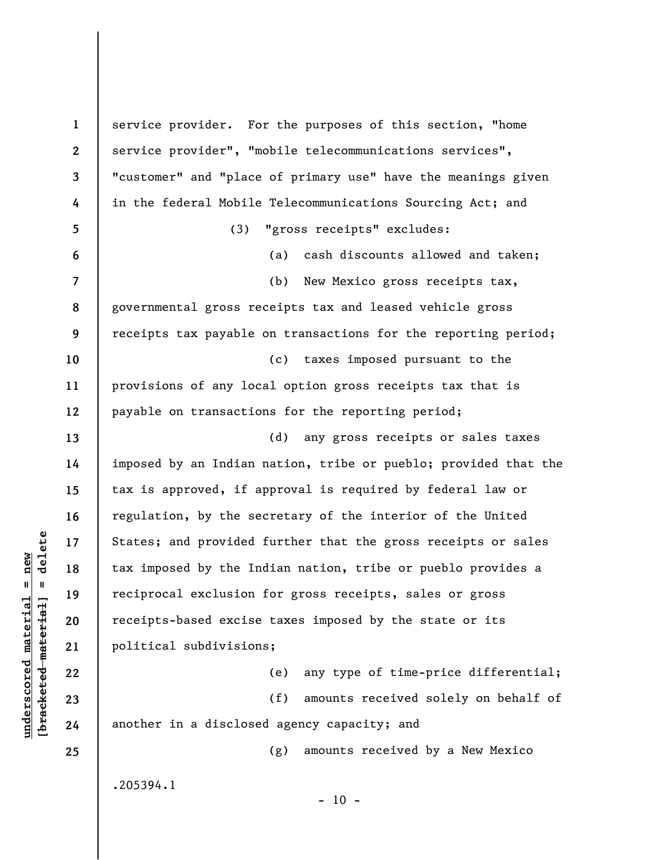**1 2 3 4 5 6 7 8 9 10 11 12 13 14 15 16 17 18 19 20 21 22 23 24 25**  service provider. For the purposes of this section, "home service provider", "mobile telecommunications services", "customer" and "place of primary use" have the meanings given in the federal Mobile Telecommunications Sourcing Act; and (3) "gross receipts" excludes: (a) cash discounts allowed and taken; (b) New Mexico gross receipts tax, governmental gross receipts tax and leased vehicle gross receipts tax payable on transactions for the reporting period; (c) taxes imposed pursuant to the provisions of any local option gross receipts tax that is payable on transactions for the reporting period; (d) any gross receipts or sales taxes imposed by an Indian nation, tribe or pueblo; provided that the tax is approved, if approval is required by federal law or regulation, by the secretary of the interior of the United States; and provided further that the gross receipts or sales tax imposed by the Indian nation, tribe or pueblo provides a reciprocal exclusion for gross receipts, sales or gross receipts-based excise taxes imposed by the state or its political subdivisions; (e) any type of time-price differential; (f) amounts received solely on behalf of another in a disclosed agency capacity; and (g) amounts received by a New Mexico .205394.1  $-10 -$ 

 $\frac{1}{2}$  intereted material = delete **[bracketed material] = delete**  $underscored material = new$ **underscored material = new**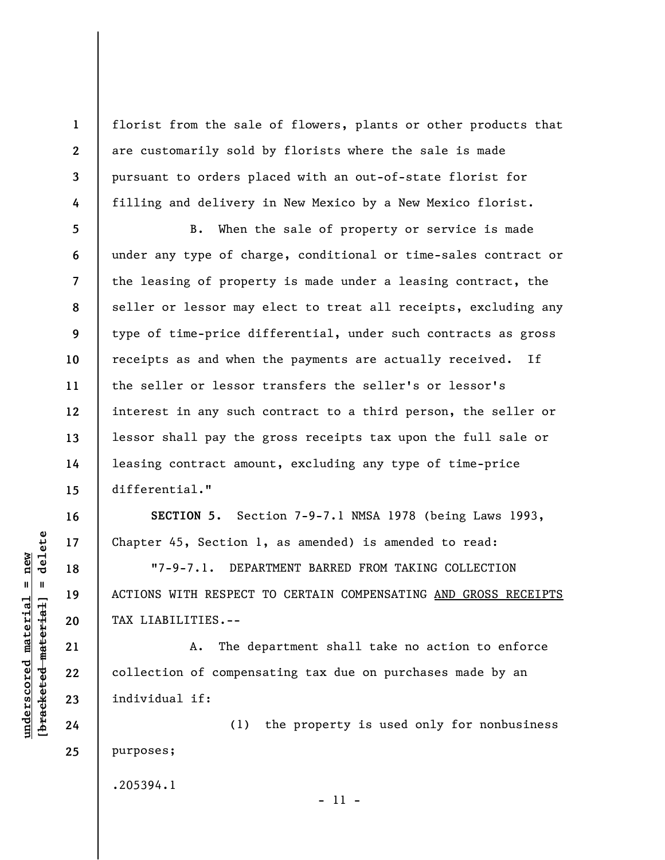florist from the sale of flowers, plants or other products that are customarily sold by florists where the sale is made pursuant to orders placed with an out-of-state florist for filling and delivery in New Mexico by a New Mexico florist.

**5 6 7 8 9 10 11 12 13 14 15**  B. When the sale of property or service is made under any type of charge, conditional or time-sales contract or the leasing of property is made under a leasing contract, the seller or lessor may elect to treat all receipts, excluding any type of time-price differential, under such contracts as gross receipts as and when the payments are actually received. If the seller or lessor transfers the seller's or lessor's interest in any such contract to a third person, the seller or lessor shall pay the gross receipts tax upon the full sale or leasing contract amount, excluding any type of time-price differential."

**SECTION 5.** Section 7-9-7.1 NMSA 1978 (being Laws 1993, Chapter 45, Section 1, as amended) is amended to read:

"7-9-7.1. DEPARTMENT BARRED FROM TAKING COLLECTION ACTIONS WITH RESPECT TO CERTAIN COMPENSATING AND GROSS RECEIPTS TAX LIABILITIES.--

A. The department shall take no action to enforce collection of compensating tax due on purchases made by an individual if:

(1) the property is used only for nonbusiness purposes;

.205394.1

 $\frac{1}{2}$  intereted material = delete **[bracketed material] = delete** **16** 

**17** 

**18** 

**19** 

**20** 

**21** 

**22** 

**23** 

**24** 

**25** 

**1** 

**2** 

**3** 

**4** 

**underscored material = new**

 $underscored material = new$ 

- 11 -